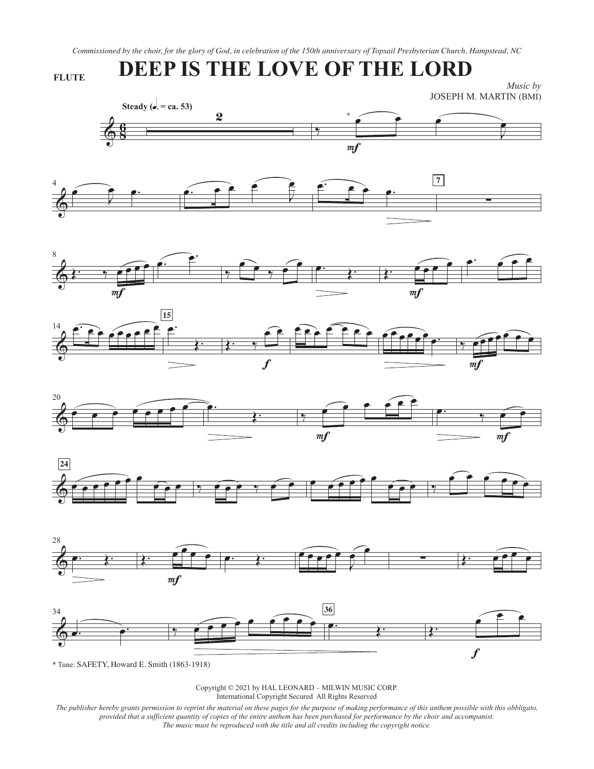*Commissioned by the choir, for the glory of God, in celebration of the 150th anniversary of Topsail Presbyterian Church, Hampstead, NC*

## **DEEP IS THE LOVE OF THE LORD**

**FLUTE**

*Music by*  JOSEPH M. MARTIN (BMI)

















\* Tune: SAFETY, Howard E. Smith (1863-1918)

Copyright © 2021 by HAL LEONARD – MILWIN MUSIC CORP. International Copyright Secured All Rights Reserved

*The publisher hereby grants permission to reprint the material on these pages for the purpose of making performance of this anthem possible with this obbligato, provided that a sufficient quantity of copies of the entire anthem has been purchased for performance by the choir and accompanist. The music must be reproduced with the title and all credits including the copyright notice.*